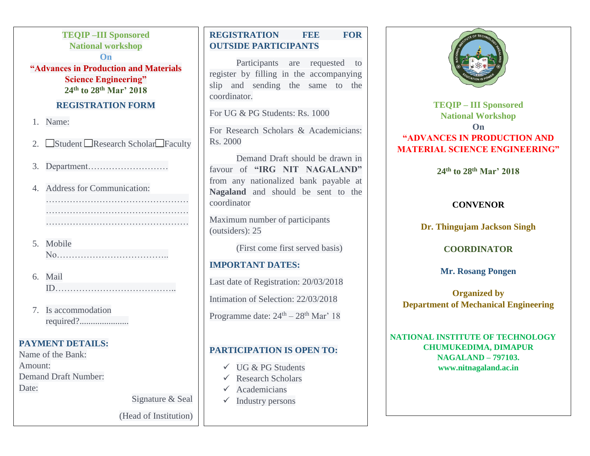# **TEQIP –III Sponsored National workshop On "Advances in Production and Materials Science Engineering"**

**24th to 28th Mar' 2018**

### **REGISTRATION FORM**

- 1. Name:
- 2. Student Research Scholar Faculty
- 3. Department………………………
- 4. Address for Communication: …………………………………………
- 5. Mobile No………………………………..
- 6. Mail ID…………………………………..
- 7. Is accommodation required?......................

# **PAYMENT DETAILS:**

Name of the Bank: Amount: Demand Draft Number: Date:

Signature & Seal

(Head of Institution)

# **REGISTRATION FEE FOR OUTSIDE PARTICIPANTS**

Participants are requested to register by filling in the accompanying slip and sending the same to the coordinator.

For UG & PG Students: Rs. 1000

For Research Scholars & Academicians: Rs. 2000

Demand Draft should be drawn in favour of **"IRG NIT NAGALAND"** from any nationalized bank payable at **Nagaland** and should be sent to the coordinator

Maximum number of participants (outsiders): 25

(First come first served basis)

#### **IMPORTANT DATES:**

Last date of Registration: 20/03/2018

Intimation of Selection: 22/03/2018

Programme date:  $24^{\text{th}} - 28^{\text{th}}$  Mar' 18

### **PARTICIPATION IS OPEN TO:**

- $\checkmark$  UG & PG Students
- $\checkmark$  Research Scholars
- Academicians
- $\checkmark$  Industry persons



**TEQIP – III Sponsored National Workshop On "ADVANCES IN PRODUCTION AND MATERIAL SCIENCE ENGINEERING"**

**24th to 28th Mar' 2018**

#### **CONVENOR**

**Dr. Thingujam Jackson Singh**

#### **COORDINATOR**

**Mr. Rosang Pongen**

**Organized by Department of Mechanical Engineering**

**NATIONAL INSTITUTE OF TECHNOLOGY CHUMUKEDIMA, DIMAPUR NAGALAND – 797103. [www.nitnagaland.ac.in](http://www.nitnagaland.ac.in/)**